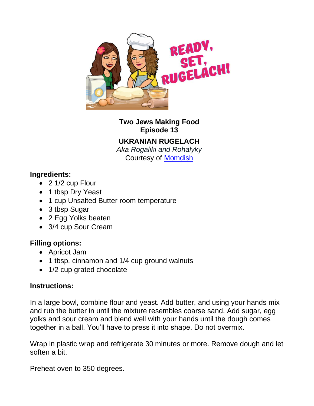

**Two Jews Making Food Episode 13**

## **UKRANIAN RUGELACH**

*Aka Rogaliki and Rohalyky* Courtesy of [Momdish](https://momsdish.com/recipe/122/rogaliki)

## **Ingredients:**

- 2 1/2 cup Flour
- 1 tbsp Dry Yeast
- 1 cup Unsalted Butter room temperature
- 3 tbsp Sugar
- 2 Egg Yolks beaten
- 3/4 cup Sour Cream

## **Filling options:**

- Apricot Jam
- 1 tbsp. cinnamon and 1/4 cup ground walnuts
- 1/2 cup grated chocolate

## **Instructions:**

In a large bowl, combine flour and yeast. Add butter, and using your hands mix and rub the butter in until the mixture resembles coarse sand. Add sugar, egg yolks and sour cream and blend well with your hands until the dough comes together in a ball. You'll have to press it into shape. Do not overmix.

Wrap in plastic wrap and refrigerate 30 minutes or more. Remove dough and let soften a bit.

Preheat oven to 350 degrees.